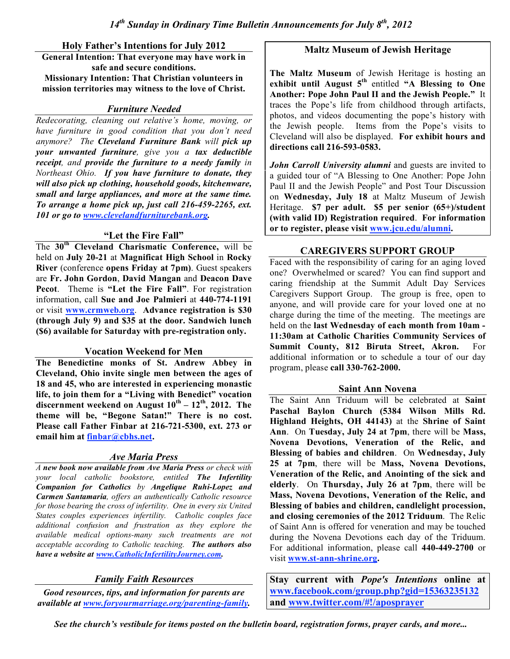**Holy Father's Intentions for July 2012 General Intention: That everyone may have work in safe and secure conditions. Missionary Intention: That Christian volunteers in mission territories may witness to the love of Christ.**

### *Furniture Needed*

*Redecorating, cleaning out relative's home, moving, or have furniture in good condition that you don't need anymore? The Cleveland Furniture Bank will pick up your unwanted furniture, give you a tax deductible receipt, and provide the furniture to a needy family in Northeast Ohio. If you have furniture to donate, they will also pick up clothing, household goods, kitchenware, small and large appliances, and more at the same time. To arrange a home pick up, just call 216-459-2265, ext. 101 or go to www.clevelandfurniturebank.org.*

### **"Let the Fire Fall"**

The **30th Cleveland Charismatic Conference,** will be held on **July 20-21** at **Magnificat High School** in **Rocky River** (conference **opens Friday at 7pm)**. Guest speakers are **Fr. John Gordon**, **David Mangan** and **Deacon Dave Pecot**. Theme is **"Let the Fire Fall"**. For registration information, call **Sue and Joe Palmieri** at **440-774-1191** or visit **www.crmweb.org**. **Advance registration is \$30 (through July 9) and \$35 at the door. Sandwich lunch (\$6) available for Saturday with pre-registration only.**

### **Vocation Weekend for Men**

**The Benedictine monks of St. Andrew Abbey in Cleveland, Ohio invite single men between the ages of 18 and 45, who are interested in experiencing monastic life, to join them for a "Living with Benedict" vocation discernment weekend on August 10th – 12th , 2012. The theme will be, "Begone Satan!" There is no cost. Please call Father Finbar at 216-721-5300, ext. 273 or email him at finbar@cbhs.net.**

# *Ave Maria Press*

*A new book now available from Ave Maria Press or check with your local catholic bookstore, entitled The Infertility Companion for Catholics by Angelique Ruhi-Lopez and Carmen Santamaria, offers an authentically Catholic resource for those bearing the cross of infertility. One in every six United States couples experiences infertility. Catholic couples face additional confusion and frustration as they explore the available medical options-many such treatments are not acceptable according to Catholic teaching. The authors also have a website at www.CatholicInfertilityJourney.com.*

# *Family Faith Resources*

*Good resources, tips, and information for parents are available at www.foryourmarriage.org/parenting-family.*

### **Maltz Museum of Jewish Heritage**

**The Maltz Museum** of Jewish Heritage is hosting an **exhibit until August 5th** entitled **"A Blessing to One Another: Pope John Paul II and the Jewish People."** It traces the Pope's life from childhood through artifacts, photos, and videos documenting the pope's history with the Jewish people. Items from the Pope's visits to Cleveland will also be displayed. **For exhibit hours and directions call 216-593-0583.**

*John Carroll University alumni* and guests are invited to a guided tour of "A Blessing to One Another: Pope John Paul II and the Jewish People" and Post Tour Discussion on **Wednesday, July 18** at Maltz Museum of Jewish Heritage. **\$7 per adult. \$5 per senior (65+)/student (with valid ID) Registration required**. **For information or to register, please visit www.jcu.edu/alumni.**

# **CAREGIVERS SUPPORT GROUP**

Faced with the responsibility of caring for an aging loved one? Overwhelmed or scared? You can find support and caring friendship at the Summit Adult Day Services Caregivers Support Group. The group is free, open to anyone, and will provide care for your loved one at no charge during the time of the meeting. The meetings are held on the **last Wednesday of each month from 10am - 11:30am at Catholic Charities Community Services of Summit County, 812 Biruta Street, Akron.** For additional information or to schedule a tour of our day program, please **call 330-762-2000.**

### **Saint Ann Novena**

The Saint Ann Triduum will be celebrated at **Saint Paschal Baylon Church (5384 Wilson Mills Rd. Highland Heights, OH 44143)** at the **Shrine of Saint Ann**. On **Tuesday, July 24 at 7pm**, there will be **Mass, Novena Devotions, Veneration of the Relic, and Blessing of babies and children**. On **Wednesday, July 25 at 7pm**, there will be **Mass, Novena Devotions, Veneration of the Relic, and Anointing of the sick and elderly**. On **Thursday, July 26 at 7pm**, there will be **Mass, Novena Devotions, Veneration of the Relic, and Blessing of babies and children, candlelight procession, and closing ceremonies of the 2012 Triduum**. The Relic of Saint Ann is offered for veneration and may be touched during the Novena Devotions each day of the Triduum. For additional information, please call **440-449-2700** or visit **www.st-ann-shrine.org.**

**Stay current with** *Pope's Intentions* **online at www.facebook.com/group.php?gid=15363235132 and www.twitter.com/#!/aposprayer**

*See the church's vestibule for items posted on the bulletin board, registration forms, prayer cards, and more...*